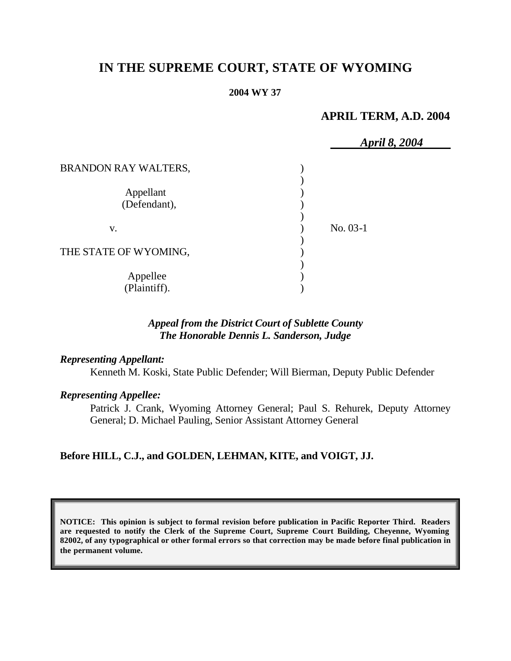# **IN THE SUPREME COURT, STATE OF WYOMING**

#### **2004 WY 37**

## **APRIL TERM, A.D. 2004**

|                           | April 8, 2004 |  |
|---------------------------|---------------|--|
| BRANDON RAY WALTERS,      |               |  |
| Appellant<br>(Defendant), |               |  |
| V.                        | No. 03-1      |  |
| THE STATE OF WYOMING,     |               |  |
| Appellee<br>(Plaintiff).  |               |  |

### *Appeal from the District Court of Sublette County The Honorable Dennis L. Sanderson, Judge*

#### *Representing Appellant:*

Kenneth M. Koski, State Public Defender; Will Bierman, Deputy Public Defender

#### *Representing Appellee:*

Patrick J. Crank, Wyoming Attorney General; Paul S. Rehurek, Deputy Attorney General; D. Michael Pauling, Senior Assistant Attorney General

#### **Before HILL, C.J., and GOLDEN, LEHMAN, KITE, and VOIGT, JJ.**

**NOTICE: This opinion is subject to formal revision before publication in Pacific Reporter Third. Readers are requested to notify the Clerk of the Supreme Court, Supreme Court Building, Cheyenne, Wyoming 82002, of any typographical or other formal errors so that correction may be made before final publication in the permanent volume.**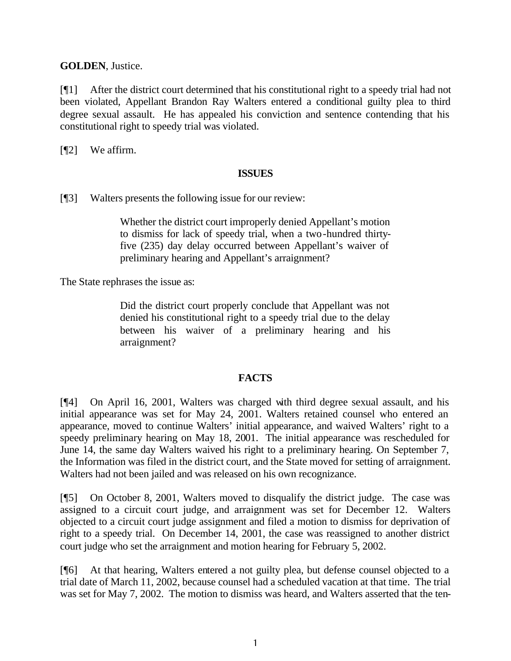**GOLDEN**, Justice.

[¶1] After the district court determined that his constitutional right to a speedy trial had not been violated, Appellant Brandon Ray Walters entered a conditional guilty plea to third degree sexual assault. He has appealed his conviction and sentence contending that his constitutional right to speedy trial was violated.

[¶2] We affirm.

#### **ISSUES**

[¶3] Walters presents the following issue for our review:

Whether the district court improperly denied Appellant's motion to dismiss for lack of speedy trial, when a two-hundred thirtyfive (235) day delay occurred between Appellant's waiver of preliminary hearing and Appellant's arraignment?

The State rephrases the issue as:

Did the district court properly conclude that Appellant was not denied his constitutional right to a speedy trial due to the delay between his waiver of a preliminary hearing and his arraignment?

#### **FACTS**

[¶4] On April 16, 2001, Walters was charged with third degree sexual assault, and his initial appearance was set for May 24, 2001. Walters retained counsel who entered an appearance, moved to continue Walters' initial appearance, and waived Walters' right to a speedy preliminary hearing on May 18, 2001. The initial appearance was rescheduled for June 14, the same day Walters waived his right to a preliminary hearing. On September 7, the Information was filed in the district court, and the State moved for setting of arraignment. Walters had not been jailed and was released on his own recognizance.

[¶5] On October 8, 2001, Walters moved to disqualify the district judge. The case was assigned to a circuit court judge, and arraignment was set for December 12. Walters objected to a circuit court judge assignment and filed a motion to dismiss for deprivation of right to a speedy trial. On December 14, 2001, the case was reassigned to another district court judge who set the arraignment and motion hearing for February 5, 2002.

[¶6] At that hearing, Walters entered a not guilty plea, but defense counsel objected to a trial date of March 11, 2002, because counsel had a scheduled vacation at that time. The trial was set for May 7, 2002. The motion to dismiss was heard, and Walters asserted that the ten-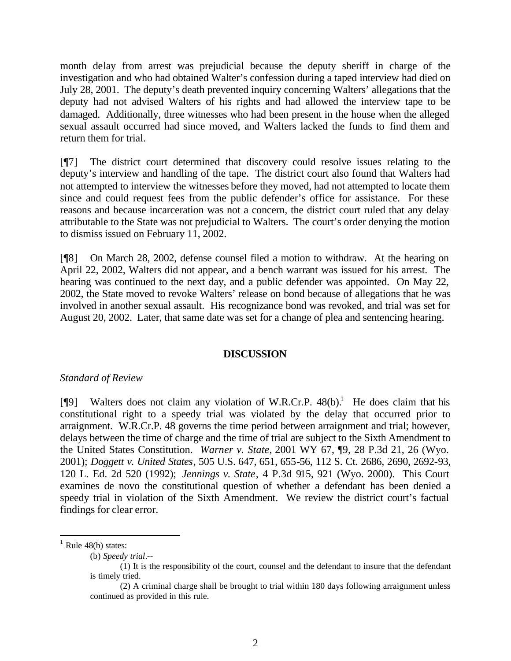month delay from arrest was prejudicial because the deputy sheriff in charge of the investigation and who had obtained Walter's confession during a taped interview had died on July 28, 2001. The deputy's death prevented inquiry concerning Walters' allegations that the deputy had not advised Walters of his rights and had allowed the interview tape to be damaged. Additionally, three witnesses who had been present in the house when the alleged sexual assault occurred had since moved, and Walters lacked the funds to find them and return them for trial.

[¶7] The district court determined that discovery could resolve issues relating to the deputy's interview and handling of the tape. The district court also found that Walters had not attempted to interview the witnesses before they moved, had not attempted to locate them since and could request fees from the public defender's office for assistance. For these reasons and because incarceration was not a concern, the district court ruled that any delay attributable to the State was not prejudicial to Walters. The court's order denying the motion to dismiss issued on February 11, 2002.

[¶8] On March 28, 2002, defense counsel filed a motion to withdraw. At the hearing on April 22, 2002, Walters did not appear, and a bench warrant was issued for his arrest. The hearing was continued to the next day, and a public defender was appointed. On May 22, 2002, the State moved to revoke Walters' release on bond because of allegations that he was involved in another sexual assault. His recognizance bond was revoked, and trial was set for August 20, 2002. Later, that same date was set for a change of plea and sentencing hearing.

#### **DISCUSSION**

#### *Standard of Review*

[¶9] Walters does not claim any violation of W.R.Cr.P.  $48(b)$ <sup>1</sup>. He does claim that his constitutional right to a speedy trial was violated by the delay that occurred prior to arraignment. W.R.Cr.P. 48 governs the time period between arraignment and trial; however, delays between the time of charge and the time of trial are subject to the Sixth Amendment to the United States Constitution. *Warner v. State,* 2001 WY 67, ¶9, 28 P.3d 21, 26 (Wyo. 2001); *Doggett v. United States*, 505 U.S. 647, 651, 655-56, 112 S. Ct. 2686, 2690, 2692-93, 120 L. Ed. 2d 520 (1992); *Jennings v. State*, 4 P.3d 915, 921 (Wyo. 2000). This Court examines de novo the constitutional question of whether a defendant has been denied a speedy trial in violation of the Sixth Amendment. We review the district court's factual findings for clear error.

l

 $<sup>1</sup>$  Rule 48(b) states:</sup>

<sup>(</sup>b) *Speedy trial*.--

<sup>(1)</sup> It is the responsibility of the court, counsel and the defendant to insure that the defendant is timely tried.

<sup>(2)</sup> A criminal charge shall be brought to trial within 180 days following arraignment unless continued as provided in this rule.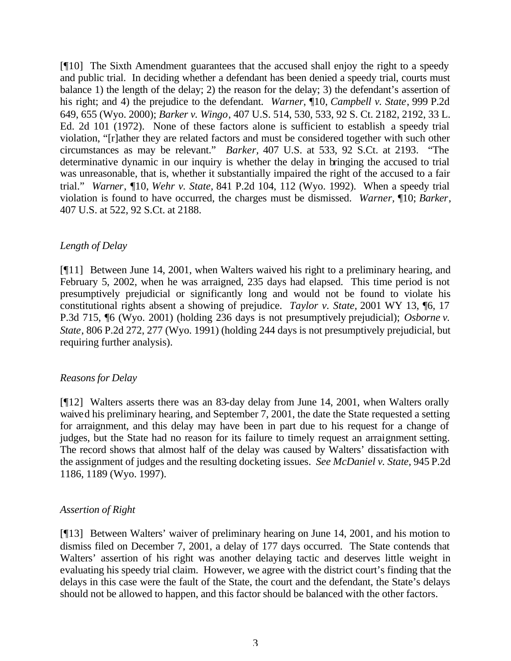[¶10] The Sixth Amendment guarantees that the accused shall enjoy the right to a speedy and public trial. In deciding whether a defendant has been denied a speedy trial, courts must balance 1) the length of the delay; 2) the reason for the delay; 3) the defendant's assertion of his right; and 4) the prejudice to the defendant. *Warner*, ¶10, *Campbell v. State*, 999 P.2d 649, 655 (Wyo. 2000); *Barker v. Wingo*, 407 U.S. 514, 530, 533, 92 S. Ct. 2182, 2192, 33 L. Ed. 2d 101 (1972). None of these factors alone is sufficient to establish a speedy trial violation, "[r]ather they are related factors and must be considered together with such other circumstances as may be relevant." *Barker,* 407 U.S. at 533, 92 S.Ct. at 2193. "The determinative dynamic in our inquiry is whether the delay in bringing the accused to trial was unreasonable, that is, whether it substantially impaired the right of the accused to a fair trial." *Warner*, ¶10, *Wehr v. State,* 841 P.2d 104, 112 (Wyo. 1992). When a speedy trial violation is found to have occurred, the charges must be dismissed. *Warner,* ¶10; *Barker*, 407 U.S. at 522, 92 S.Ct. at 2188.

## *Length of Delay*

[¶11] Between June 14, 2001, when Walters waived his right to a preliminary hearing, and February 5, 2002, when he was arraigned, 235 days had elapsed. This time period is not presumptively prejudicial or significantly long and would not be found to violate his constitutional rights absent a showing of prejudice. *Taylor v. State,* 2001 WY 13, ¶6, 17 P.3d 715, ¶6 (Wyo. 2001) (holding 236 days is not presumptively prejudicial); *Osborne v. State*, 806 P.2d 272, 277 (Wyo. 1991) (holding 244 days is not presumptively prejudicial, but requiring further analysis).

#### *Reasons for Delay*

[¶12] Walters asserts there was an 83-day delay from June 14, 2001, when Walters orally waived his preliminary hearing, and September 7, 2001, the date the State requested a setting for arraignment, and this delay may have been in part due to his request for a change of judges, but the State had no reason for its failure to timely request an arraignment setting. The record shows that almost half of the delay was caused by Walters' dissatisfaction with the assignment of judges and the resulting docketing issues. *See McDaniel v. State,* 945 P.2d 1186, 1189 (Wyo. 1997).

#### *Assertion of Right*

[¶13] Between Walters' waiver of preliminary hearing on June 14, 2001, and his motion to dismiss filed on December 7, 2001, a delay of 177 days occurred. The State contends that Walters' assertion of his right was another delaying tactic and deserves little weight in evaluating his speedy trial claim. However, we agree with the district court's finding that the delays in this case were the fault of the State, the court and the defendant, the State's delays should not be allowed to happen, and this factor should be balanced with the other factors.